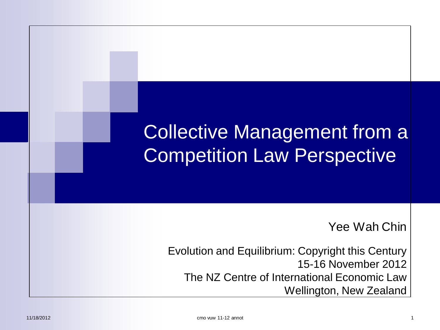### **Collective Management from a Competition Law Perspective**

Yee Wah Chin

Evolution and Equilibrium: Copyright this Century 15-16 November 2012 The NZ Centre of International Economic Law Wellington, New Zealand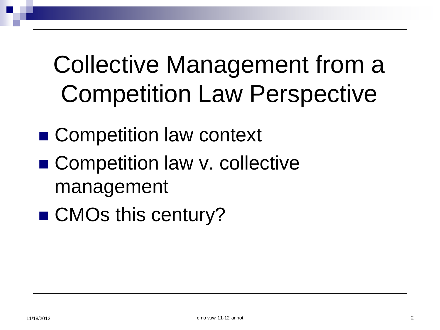### **Collective Management from a Competition Law Perspective**

- Competition law context
- Competition law v. collective management
- CMOs this century?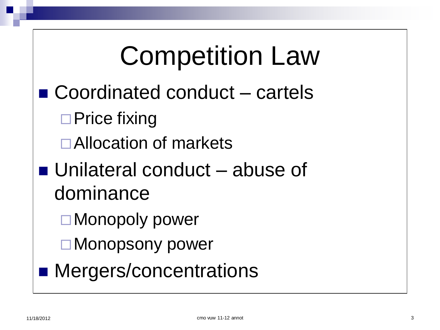### **Competition Law**  $\blacksquare$  Coordinated conduct  $-$  cartels  $\Box$  Price fixing □ Allocation of markets  $\blacksquare$  Unilateral conduct  $\blacksquare$  abuse of dominance □ Monopoly power □ Monopsony power • Mergers/concentrations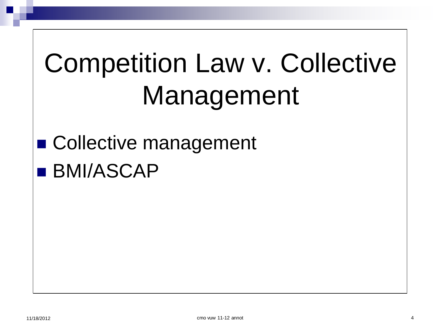# **Competition Law v. Collective** Management

### ■ Collective management **BMI/ASCAP**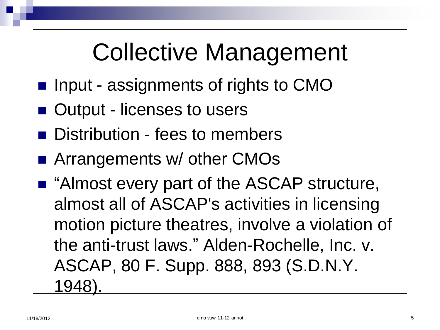### Collective Management

- **Input assignments of rights to CMO**
- Output licenses to users
- Distribution fees to members
- Arrangements w/ other CMOs
- "Almost every part of the ASCAP structure, almost all of ASCAP's activities in licensing motion picture theatres, involve a violation of the anti-trust laws." Alden-Rochelle, Inc. v. ASCAP, 80 F. Supp. 888, 893 (S.D.N.Y. 1948).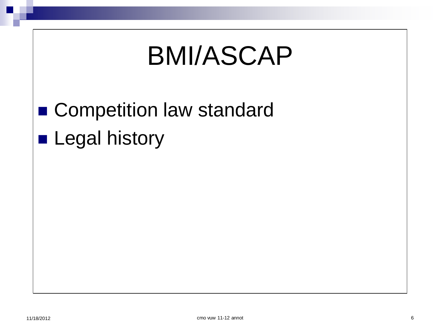### **BMI/ASCAP**

# • Competition law standard

**Legal history**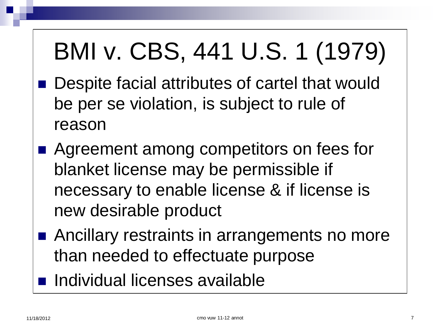## BMI v. CBS, 441 U.S. 1 (1979)

- Despite facial attributes of cartel that would be per se violation, is subject to rule of reason
- Agreement among competitors on fees for blanket license may be permissible if necessary to enable license & if license is new desirable product
- Ancillary restraints in arrangements no more than needed to effectuate purpose
- **n** Individual licenses available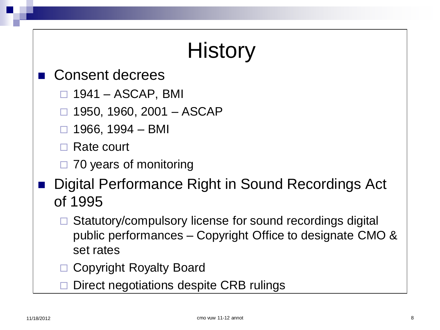### **History**

- Consent decrees
	- $\Box$  1941 ASCAP, BMI
	- $\Box$  1950, 1960, 2001 ASCAP
	- $\Box$  1966, 1994 BMI

□ Rate court

- $\Box$  70 years of monitoring
- Digital Performance Right in Sound Recordings Act of 1995
	- Statutory/compulsory license for sound recordings digital public performances – Copyright Office to designate CMO & set rates
	- □ Copyright Royalty Board
	- Direct negotiations despite CRB rulings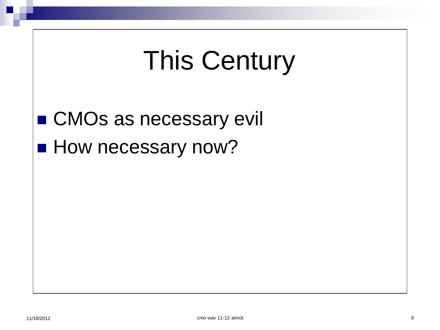## **This Century**

■ CMOs as necessary evil

**How necessary now?**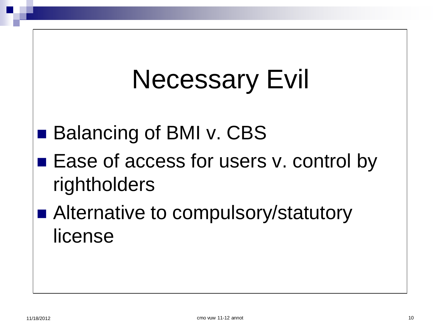# **Necessary Evil**

- Balancing of BMI v. CBS
- Ease of access for users v. control by rightholders
- Alternative to compulsory/statutory license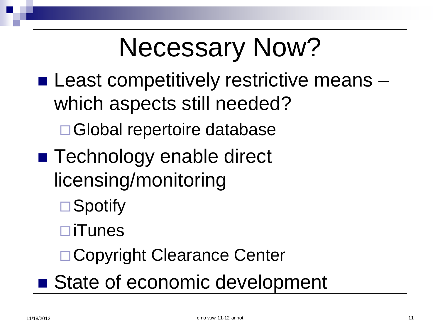## **Necessary Now?**

- **Least competitively restrictive means** which aspects still needed?
	- □ Global repertoire database
- Technology enable direct licensing/monitoring
	- $\Box$ Spotify
	- $\Box$ iTunes
	- □ Copyright Clearance Center
- State of economic development